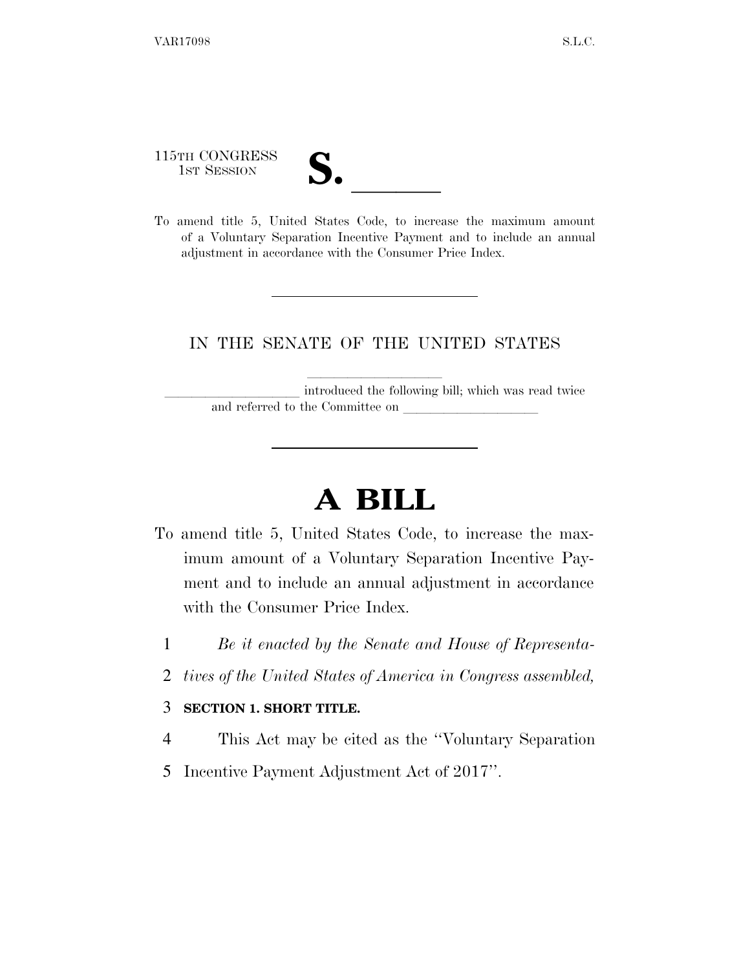115TH CONGRESS

| $\overline{\mathsf{v}}$ |  |
|-------------------------|--|
|                         |  |
|                         |  |

115TH CONGRESS<br>1st Session<br>To amend title 5, United States Code, to increase the maximum amount of a Voluntary Separation Incentive Payment and to include an annual adjustment in accordance with the Consumer Price Index.

## IN THE SENATE OF THE UNITED STATES

introduced the following bill; which was read twice and referred to the Committee on

## **A BILL**

- To amend title 5, United States Code, to increase the maximum amount of a Voluntary Separation Incentive Payment and to include an annual adjustment in accordance with the Consumer Price Index.
	- 1 *Be it enacted by the Senate and House of Representa-*
	- 2 *tives of the United States of America in Congress assembled,*

## 3 **SECTION 1. SHORT TITLE.**

- 4 This Act may be cited as the ''Voluntary Separation
- 5 Incentive Payment Adjustment Act of 2017''.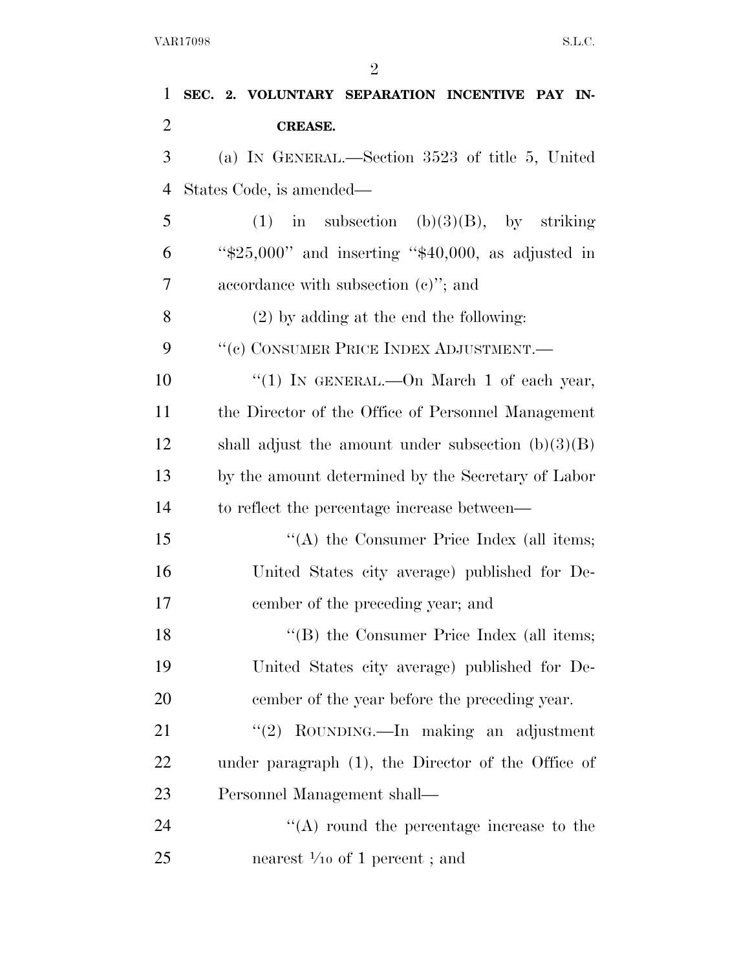| 1              | SEC. 2. VOLUNTARY SEPARATION INCENTIVE PAY IN-          |
|----------------|---------------------------------------------------------|
| $\overline{2}$ | CREASE.                                                 |
| 3              | (a) IN GENERAL.—Section 3523 of title 5, United         |
| $\overline{4}$ | States Code, is amended—                                |
| 5              | in subsection $(b)(3)(B)$ , by striking<br>(1)          |
| 6              | " $$25,000"$ and inserting " $$40,000$ , as adjusted in |
| $\overline{7}$ | accordance with subsection $(e)$ "; and                 |
| 8              | $(2)$ by adding at the end the following:               |
| 9              | "(c) CONSUMER PRICE INDEX ADJUSTMENT.—                  |
| 10             | "(1) IN GENERAL.—On March 1 of each year,               |
| 11             | the Director of the Office of Personnel Management      |
| 12             | shall adjust the amount under subsection $(b)(3)(B)$    |
| 13             | by the amount determined by the Secretary of Labor      |
| 14             | to reflect the percentage increase between—             |
| 15             | "(A) the Consumer Price Index (all items;               |
| 16             | United States city average) published for De-           |
| 17             | cember of the preceding year; and                       |
| 18             | "(B) the Consumer Price Index (all items;               |
| 19             | United States city average) published for De-           |
| 20             | cember of the year before the preceding year.           |
| 21             | "(2) ROUNDING.—In making an adjustment                  |
| 22             | under paragraph (1), the Director of the Office of      |
| 23             | Personnel Management shall—                             |
| 24             | $\lq\lq$ round the percentage increase to the           |
| 25             | nearest $\frac{1}{10}$ of 1 percent; and                |